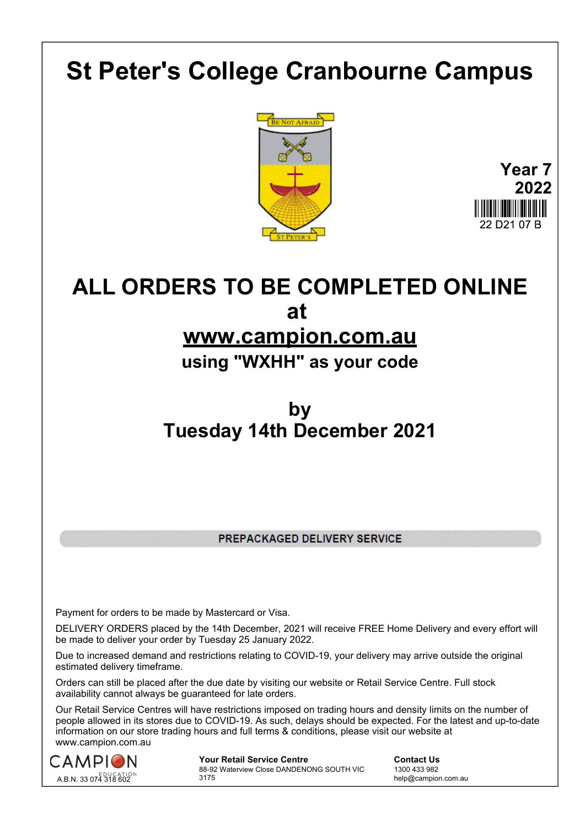# **St Peter's College Cranbourne Campus**





## **ALL ORDERS TO BE COMPLETED ONLINE at www.campion.com.au**

### **using "WXHH" as your code**

### **by Tuesday 14th December 2021**

PREPACKAGED DELIVERY SERVICE

Payment for orders to be made by Mastercard or Visa.

DELIVERY ORDERS placed by the 14th December, 2021 will receive FREE Home Delivery and every effort will be made to deliver your order by Tuesday 25 January 2022.

Due to increased demand and restrictions relating to COVID-19, your delivery may arrive outside the original estimated delivery timeframe.

Orders can still be placed after the due date by visiting our website or Retail Service Centre. Full stock availability cannot always be guaranteed for late orders.

Our Retail Service Centres will have restrictions imposed on trading hours and density limits on the number of people allowed in its stores due to COVID-19. As such, delays should be expected. For the latest and up-to-date information on our store trading hours and full terms & conditions, please visit our website at www.campion.com.au



**Your Retail Service Centre Contact Us** 88-92 Waterview Close DANDENONG SOUTH VIC 3175

1300 433 982 help@campion.com.au